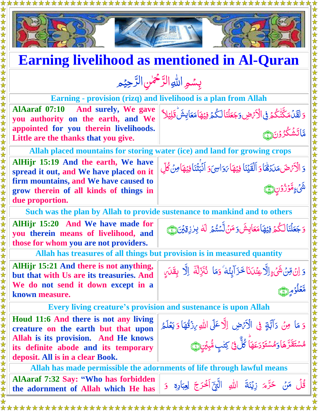

 $\blacksquare$